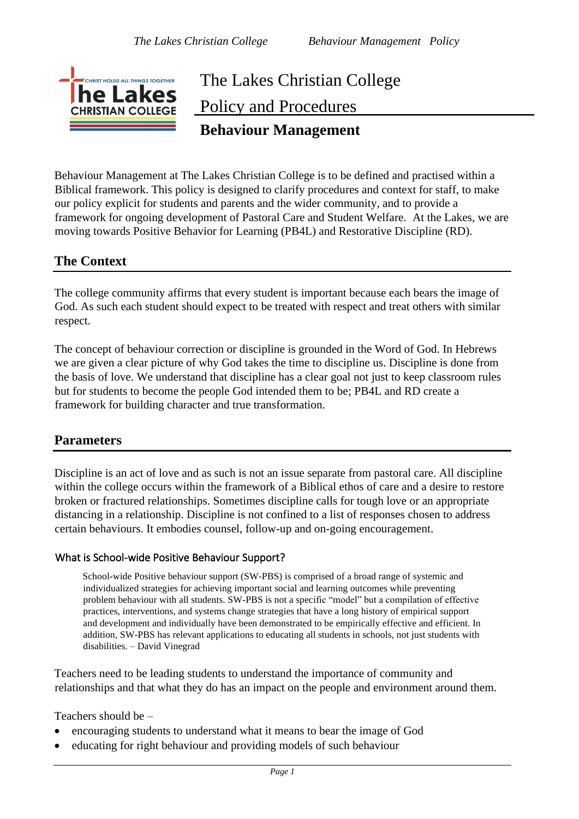

## The Lakes Christian College Policy and Procedures **Behaviour Management**

Behaviour Management at The Lakes Christian College is to be defined and practised within a Biblical framework. This policy is designed to clarify procedures and context for staff, to make our policy explicit for students and parents and the wider community, and to provide a framework for ongoing development of Pastoral Care and Student Welfare. At the Lakes, we are moving towards Positive Behavior for Learning (PB4L) and Restorative Discipline (RD).

## **The Context**

The college community affirms that every student is important because each bears the image of God. As such each student should expect to be treated with respect and treat others with similar respect.

The concept of behaviour correction or discipline is grounded in the Word of God. In Hebrews we are given a clear picture of why God takes the time to discipline us. Discipline is done from the basis of love. We understand that discipline has a clear goal not just to keep classroom rules but for students to become the people God intended them to be; PB4L and RD create a framework for building character and true transformation.

## **Parameters**

Discipline is an act of love and as such is not an issue separate from pastoral care. All discipline within the college occurs within the framework of a Biblical ethos of care and a desire to restore broken or fractured relationships. Sometimes discipline calls for tough love or an appropriate distancing in a relationship. Discipline is not confined to a list of responses chosen to address certain behaviours. It embodies counsel, follow-up and on-going encouragement.

## What is School-wide Positive Behaviour Support?

School-wide Positive behaviour support (SW-PBS) is comprised of a broad range of systemic and individualized strategies for achieving important social and learning outcomes while preventing problem behaviour with all students. SW-PBS is not a specific "model" but a compilation of effective practices, interventions, and systems change strategies that have a long history of empirical support and development and individually have been demonstrated to be empirically effective and efficient. In addition, SW-PBS has relevant applications to educating all students in schools, not just students with disabilities. – David Vinegrad

Teachers need to be leading students to understand the importance of community and relationships and that what they do has an impact on the people and environment around them.

Teachers should be –

- encouraging students to understand what it means to bear the image of God
- educating for right behaviour and providing models of such behaviour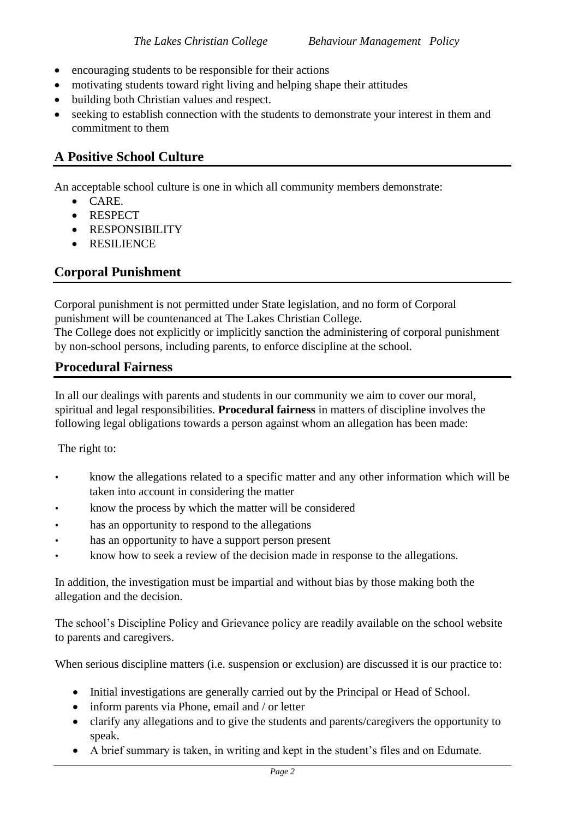- encouraging students to be responsible for their actions
- motivating students toward right living and helping shape their attitudes
- building both Christian values and respect.
- seeking to establish connection with the students to demonstrate your interest in them and commitment to them

## **A Positive School Culture**

An acceptable school culture is one in which all community members demonstrate:

- CARE.
- RESPECT
- RESPONSIBILITY
- RESILIENCE

## **Corporal Punishment**

Corporal punishment is not permitted under State legislation, and no form of Corporal punishment will be countenanced at The Lakes Christian College.

The College does not explicitly or implicitly sanction the administering of corporal punishment by non-school persons, including parents, to enforce discipline at the school.

## **Procedural Fairness**

In all our dealings with parents and students in our community we aim to cover our moral, spiritual and legal responsibilities. **Procedural fairness** in matters of discipline involves the following legal obligations towards a person against whom an allegation has been made:

The right to:

- know the allegations related to a specific matter and any other information which will be taken into account in considering the matter
- know the process by which the matter will be considered
- has an opportunity to respond to the allegations
- has an opportunity to have a support person present
- know how to seek a review of the decision made in response to the allegations.

In addition, the investigation must be impartial and without bias by those making both the allegation and the decision.

The school's Discipline Policy and Grievance policy are readily available on the school website to parents and caregivers.

When serious discipline matters (i.e. suspension or exclusion) are discussed it is our practice to:

- Initial investigations are generally carried out by the Principal or Head of School.
- inform parents via Phone, email and / or letter
- clarify any allegations and to give the students and parents/caregivers the opportunity to speak.
- A brief summary is taken, in writing and kept in the student's files and on Edumate.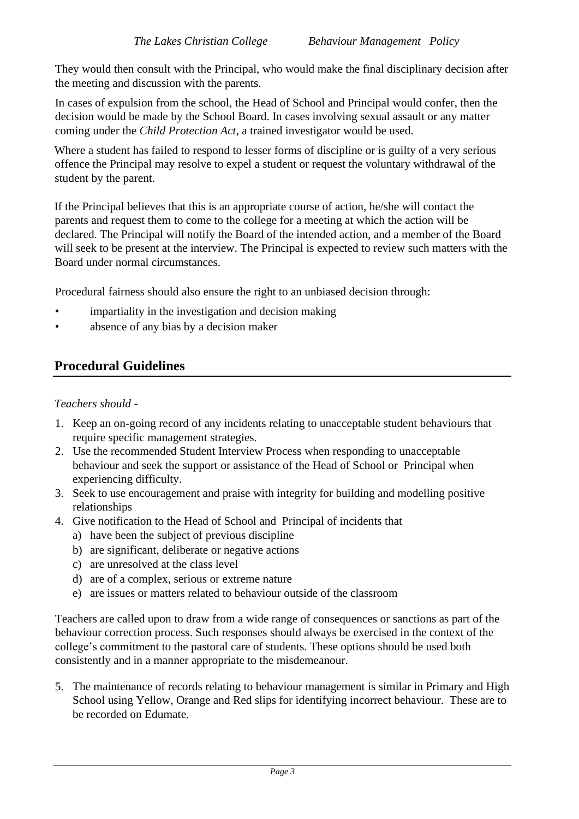They would then consult with the Principal, who would make the final disciplinary decision after the meeting and discussion with the parents.

In cases of expulsion from the school, the Head of School and Principal would confer, then the decision would be made by the School Board. In cases involving sexual assault or any matter coming under the *Child Protection Act*, a trained investigator would be used.

Where a student has failed to respond to lesser forms of discipline or is guilty of a very serious offence the Principal may resolve to expel a student or request the voluntary withdrawal of the student by the parent.

If the Principal believes that this is an appropriate course of action, he/she will contact the parents and request them to come to the college for a meeting at which the action will be declared. The Principal will notify the Board of the intended action, and a member of the Board will seek to be present at the interview. The Principal is expected to review such matters with the Board under normal circumstances.

Procedural fairness should also ensure the right to an unbiased decision through:

- impartiality in the investigation and decision making
- absence of any bias by a decision maker

## **Procedural Guidelines**

## *Teachers should -*

- 1. Keep an on-going record of any incidents relating to unacceptable student behaviours that require specific management strategies.
- 2. Use the recommended Student Interview Process when responding to unacceptable behaviour and seek the support or assistance of the Head of School or Principal when experiencing difficulty.
- 3. Seek to use encouragement and praise with integrity for building and modelling positive relationships
- 4. Give notification to the Head of School and Principal of incidents that
	- a) have been the subject of previous discipline
	- b) are significant, deliberate or negative actions
	- c) are unresolved at the class level
	- d) are of a complex, serious or extreme nature
	- e) are issues or matters related to behaviour outside of the classroom

Teachers are called upon to draw from a wide range of consequences or sanctions as part of the behaviour correction process. Such responses should always be exercised in the context of the college's commitment to the pastoral care of students. These options should be used both consistently and in a manner appropriate to the misdemeanour.

5. The maintenance of records relating to behaviour management is similar in Primary and High School using Yellow, Orange and Red slips for identifying incorrect behaviour. These are to be recorded on Edumate.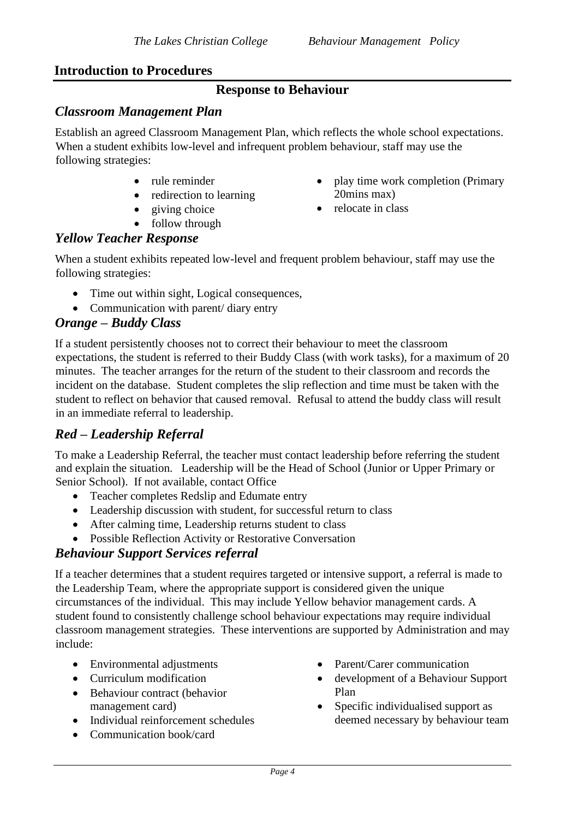## **Introduction to Procedures**

## **Response to Behaviour**

## *Classroom Management Plan*

Establish an agreed Classroom Management Plan, which reflects the whole school expectations. When a student exhibits low-level and infrequent problem behaviour, staff may use the following strategies:

- rule reminder
- redirection to learning
- giving choice
- follow through

## *Yellow Teacher Response*

When a student exhibits repeated low-level and frequent problem behaviour, staff may use the following strategies:

- Time out within sight, Logical consequences,
- Communication with parent/ diary entry

## *Orange – Buddy Class*

If a student persistently chooses not to correct their behaviour to meet the classroom expectations, the student is referred to their Buddy Class (with work tasks), for a maximum of 20 minutes. The teacher arranges for the return of the student to their classroom and records the incident on the database. Student completes the slip reflection and time must be taken with the student to reflect on behavior that caused removal. Refusal to attend the buddy class will result in an immediate referral to leadership.

## *Red – Leadership Referral*

To make a Leadership Referral, the teacher must contact leadership before referring the student and explain the situation. Leadership will be the Head of School (Junior or Upper Primary or Senior School). If not available, contact Office

- Teacher completes Redslip and Edumate entry
- Leadership discussion with student, for successful return to class
- After calming time, Leadership returns student to class
- Possible Reflection Activity or Restorative Conversation

## *Behaviour Support Services referral*

If a teacher determines that a student requires targeted or intensive support, a referral is made to the Leadership Team, where the appropriate support is considered given the unique circumstances of the individual. This may include Yellow behavior management cards. A student found to consistently challenge school behaviour expectations may require individual classroom management strategies. These interventions are supported by Administration and may include:

- Environmental adjustments
- Curriculum modification
- Behaviour contract (behavior management card)
- Individual reinforcement schedules
- Communication book/card
- Parent/Carer communication
- development of a Behaviour Support Plan
- Specific individualised support as deemed necessary by behaviour team
- play time work completion (Primary 20mins max)
- relocate in class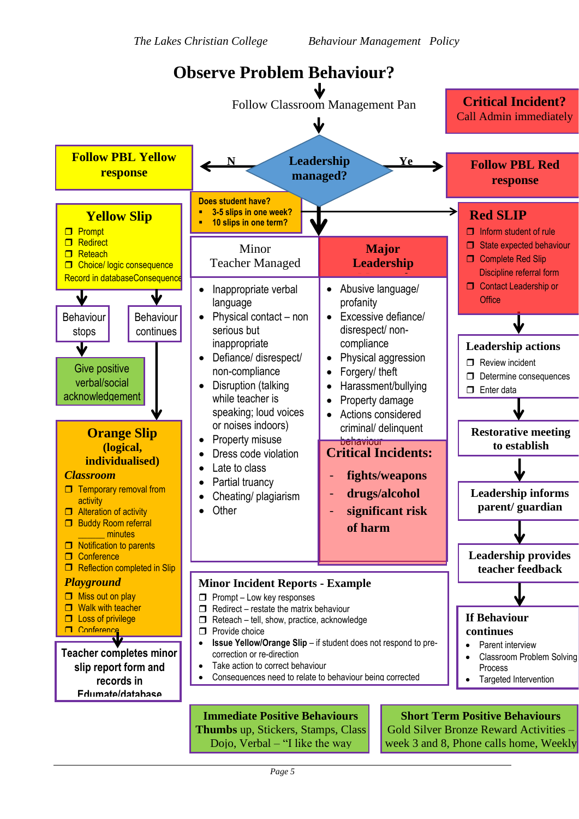

Page 5 you…", Non-verbal: smiles,thumbs Rewards Day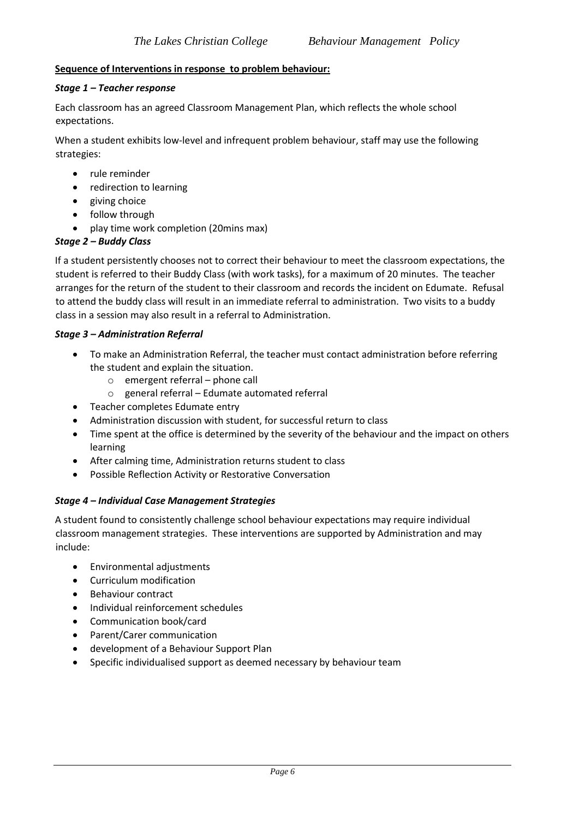#### **Sequence of Interventions in response to problem behaviour:**

#### *Stage 1 – Teacher response*

Each classroom has an agreed Classroom Management Plan, which reflects the whole school expectations.

When a student exhibits low-level and infrequent problem behaviour, staff may use the following strategies:

- rule reminder
- redirection to learning
- giving choice
- follow through
- play time work completion (20mins max)

## *Stage 2 – Buddy Class*

If a student persistently chooses not to correct their behaviour to meet the classroom expectations, the student is referred to their Buddy Class (with work tasks), for a maximum of 20 minutes. The teacher arranges for the return of the student to their classroom and records the incident on Edumate. Refusal to attend the buddy class will result in an immediate referral to administration. Two visits to a buddy class in a session may also result in a referral to Administration.

#### *Stage 3 – Administration Referral*

- To make an Administration Referral, the teacher must contact administration before referring the student and explain the situation.
	- o emergent referral phone call
	- o general referral Edumate automated referral
- Teacher completes Edumate entry
- Administration discussion with student, for successful return to class
- Time spent at the office is determined by the severity of the behaviour and the impact on others learning
- After calming time, Administration returns student to class
- Possible Reflection Activity or Restorative Conversation

#### *Stage 4 – Individual Case Management Strategies*

A student found to consistently challenge school behaviour expectations may require individual classroom management strategies. These interventions are supported by Administration and may include:

- Environmental adjustments
- Curriculum modification
- Behaviour contract
- Individual reinforcement schedules
- Communication book/card
- Parent/Carer communication
- development of a Behaviour Support Plan
- Specific individualised support as deemed necessary by behaviour team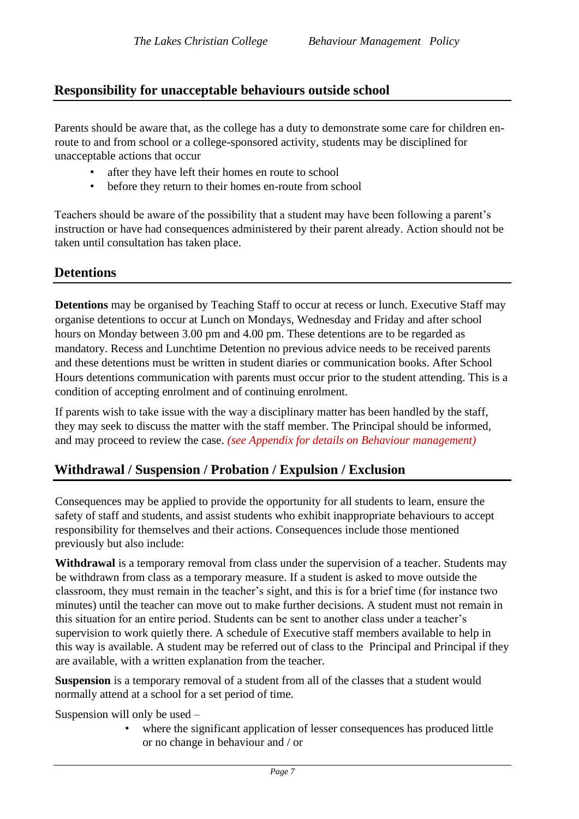## **Responsibility for unacceptable behaviours outside school**

Parents should be aware that, as the college has a duty to demonstrate some care for children enroute to and from school or a college-sponsored activity, students may be disciplined for unacceptable actions that occur

- after they have left their homes en route to school
- before they return to their homes en-route from school

Teachers should be aware of the possibility that a student may have been following a parent's instruction or have had consequences administered by their parent already. Action should not be taken until consultation has taken place.

## **Detentions**

**Detentions** may be organised by Teaching Staff to occur at recess or lunch. Executive Staff may organise detentions to occur at Lunch on Mondays, Wednesday and Friday and after school hours on Monday between 3.00 pm and 4.00 pm. These detentions are to be regarded as mandatory. Recess and Lunchtime Detention no previous advice needs to be received parents and these detentions must be written in student diaries or communication books. After School Hours detentions communication with parents must occur prior to the student attending. This is a condition of accepting enrolment and of continuing enrolment.

If parents wish to take issue with the way a disciplinary matter has been handled by the staff, they may seek to discuss the matter with the staff member. The Principal should be informed, and may proceed to review the case. *(see Appendix for details on Behaviour management)*

## **Withdrawal / Suspension / Probation / Expulsion / Exclusion**

Consequences may be applied to provide the opportunity for all students to learn, ensure the safety of staff and students, and assist students who exhibit inappropriate behaviours to accept responsibility for themselves and their actions. Consequences include those mentioned previously but also include:

**Withdrawal** is a temporary removal from class under the supervision of a teacher. Students may be withdrawn from class as a temporary measure. If a student is asked to move outside the classroom, they must remain in the teacher's sight, and this is for a brief time (for instance two minutes) until the teacher can move out to make further decisions. A student must not remain in this situation for an entire period. Students can be sent to another class under a teacher's supervision to work quietly there. A schedule of Executive staff members available to help in this way is available. A student may be referred out of class to the Principal and Principal if they are available, with a written explanation from the teacher.

**Suspension** is a temporary removal of a student from all of the classes that a student would normally attend at a school for a set period of time.

Suspension will only be used –

• where the significant application of lesser consequences has produced little or no change in behaviour and / or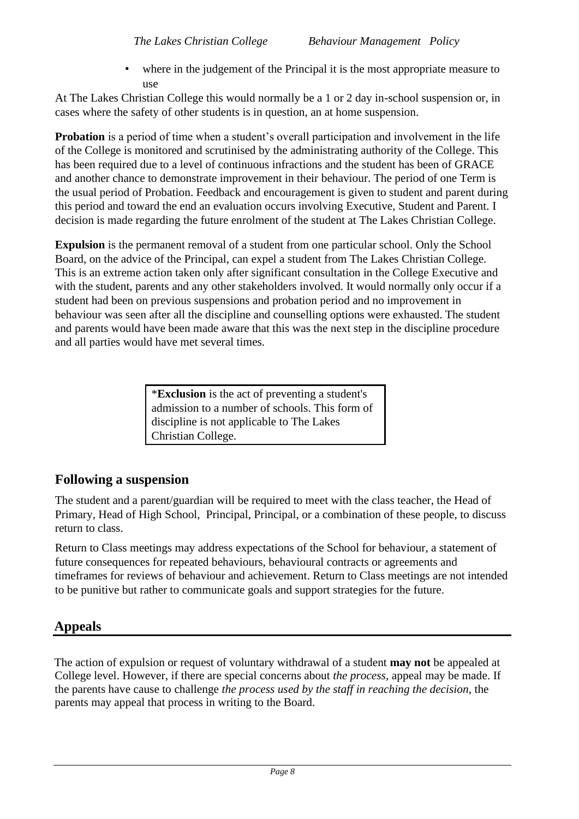where in the judgement of the Principal it is the most appropriate measure to use

At The Lakes Christian College this would normally be a 1 or 2 day in-school suspension or, in cases where the safety of other students is in question, an at home suspension.

**Probation** is a period of time when a student's overall participation and involvement in the life of the College is monitored and scrutinised by the administrating authority of the College. This has been required due to a level of continuous infractions and the student has been of GRACE and another chance to demonstrate improvement in their behaviour. The period of one Term is the usual period of Probation. Feedback and encouragement is given to student and parent during this period and toward the end an evaluation occurs involving Executive, Student and Parent. I decision is made regarding the future enrolment of the student at The Lakes Christian College.

**Expulsion** is the permanent removal of a student from one particular school. Only the School Board, on the advice of the Principal, can expel a student from The Lakes Christian College. This is an extreme action taken only after significant consultation in the College Executive and with the student, parents and any other stakeholders involved. It would normally only occur if a student had been on previous suspensions and probation period and no improvement in behaviour was seen after all the discipline and counselling options were exhausted. The student and parents would have been made aware that this was the next step in the discipline procedure and all parties would have met several times.

> \***Exclusion** is the act of preventing a student's admission to a number of schools. This form of discipline is not applicable to The Lakes Christian College.

## **Following a suspension**

The student and a parent/guardian will be required to meet with the class teacher, the Head of Primary, Head of High School, Principal, Principal, or a combination of these people, to discuss return to class.

Return to Class meetings may address expectations of the School for behaviour, a statement of future consequences for repeated behaviours, behavioural contracts or agreements and timeframes for reviews of behaviour and achievement. Return to Class meetings are not intended to be punitive but rather to communicate goals and support strategies for the future.

## **Appeals**

The action of expulsion or request of voluntary withdrawal of a student **may not** be appealed at College level. However, if there are special concerns about *the process*, appeal may be made. If the parents have cause to challenge *the process used by the staff in reaching the decision*, the parents may appeal that process in writing to the Board.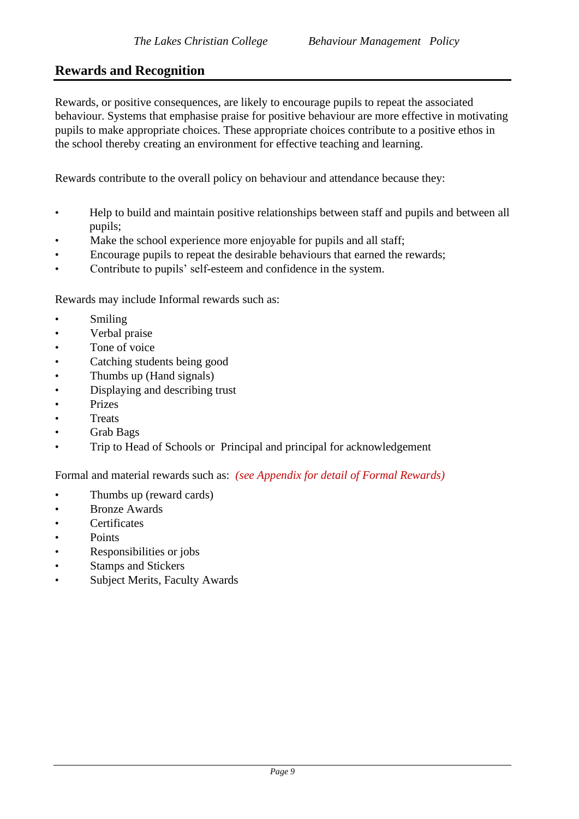## **Rewards and Recognition**

Rewards, or positive consequences, are likely to encourage pupils to repeat the associated behaviour. Systems that emphasise praise for positive behaviour are more effective in motivating pupils to make appropriate choices. These appropriate choices contribute to a positive ethos in the school thereby creating an environment for effective teaching and learning.

Rewards contribute to the overall policy on behaviour and attendance because they:

- Help to build and maintain positive relationships between staff and pupils and between all pupils;
- Make the school experience more enjoyable for pupils and all staff;
- Encourage pupils to repeat the desirable behaviours that earned the rewards;
- Contribute to pupils' self-esteem and confidence in the system.

Rewards may include Informal rewards such as:

- Smiling
- Verbal praise
- Tone of voice
- Catching students being good
- Thumbs up (Hand signals)
- Displaying and describing trust
- Prizes
- **Treats**
- Grab Bags
- Trip to Head of Schools or Principal and principal for acknowledgement

Formal and material rewards such as: *(see Appendix for detail of Formal Rewards)*

- Thumbs up (reward cards)
- Bronze Awards
- Certificates
- Points
- Responsibilities or jobs
- Stamps and Stickers
- Subject Merits, Faculty Awards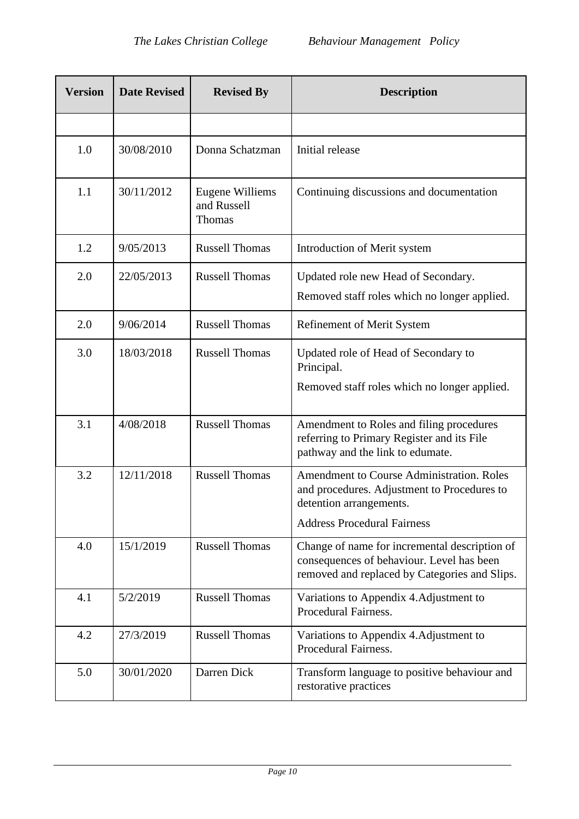| <b>Version</b> | <b>Date Revised</b> | <b>Revised By</b>                               | <b>Description</b>                                                                                                                          |  |  |
|----------------|---------------------|-------------------------------------------------|---------------------------------------------------------------------------------------------------------------------------------------------|--|--|
|                |                     |                                                 |                                                                                                                                             |  |  |
| 1.0            | 30/08/2010          | Donna Schatzman                                 | Initial release                                                                                                                             |  |  |
| 1.1            | 30/11/2012          | Eugene Williems<br>and Russell<br><b>Thomas</b> | Continuing discussions and documentation                                                                                                    |  |  |
| 1.2            | 9/05/2013           | <b>Russell Thomas</b>                           | Introduction of Merit system                                                                                                                |  |  |
| 2.0            | 22/05/2013          | <b>Russell Thomas</b>                           | Updated role new Head of Secondary.<br>Removed staff roles which no longer applied.                                                         |  |  |
| 2.0            | 9/06/2014           | <b>Russell Thomas</b>                           | Refinement of Merit System                                                                                                                  |  |  |
| 3.0            | 18/03/2018          | <b>Russell Thomas</b>                           | Updated role of Head of Secondary to<br>Principal.<br>Removed staff roles which no longer applied.                                          |  |  |
| 3.1            | 4/08/2018           | <b>Russell Thomas</b>                           | Amendment to Roles and filing procedures<br>referring to Primary Register and its File<br>pathway and the link to edumate.                  |  |  |
| 3.2            | 12/11/2018          | <b>Russell Thomas</b>                           | <b>Amendment to Course Administration. Roles</b><br>and procedures. Adjustment to Procedures to<br>detention arrangements.                  |  |  |
|                |                     |                                                 | <b>Address Procedural Fairness</b>                                                                                                          |  |  |
| 4.0            | 15/1/2019           | <b>Russell Thomas</b>                           | Change of name for incremental description of<br>consequences of behaviour. Level has been<br>removed and replaced by Categories and Slips. |  |  |
| 4.1            | 5/2/2019            | <b>Russell Thomas</b>                           | Variations to Appendix 4. Adjustment to<br>Procedural Fairness.                                                                             |  |  |
| 4.2            | 27/3/2019           | <b>Russell Thomas</b>                           | Variations to Appendix 4. Adjustment to<br>Procedural Fairness.                                                                             |  |  |
| 5.0            | 30/01/2020          | Darren Dick                                     | Transform language to positive behaviour and<br>restorative practices                                                                       |  |  |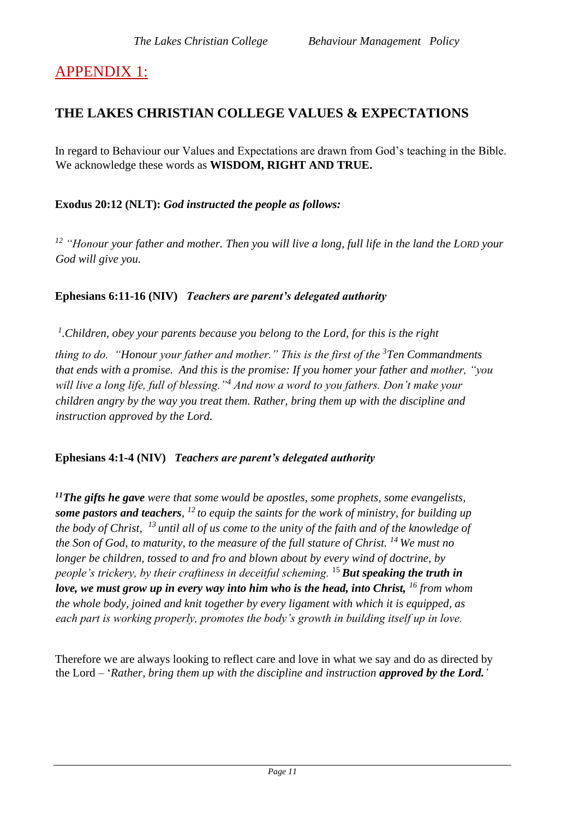## APPENDIX 1:

## **THE LAKES CHRISTIAN COLLEGE VALUES & EXPECTATIONS**

In regard to Behaviour our Values and Expectations are drawn from God's teaching in the Bible. We acknowledge these words as **WISDOM, RIGHT AND TRUE.**

**Exodus 20:12 (NLT):** *God instructed the people as follows:* 

*<sup>12</sup> "Honour your father and mother. Then you will live a long, full life in the land the LORD your God will give you.* 

## **Ephesians 6:11-16 (NIV)** *Teachers are parent's delegated authority*

<sup>1</sup>. Children, obey your parents because you belong to the Lord, for this is the right

*thing to do. "Honour your father and mother." This is the first of the <sup>3</sup>Ten Commandments that ends with a promise. And this is the promise: If you homer your father and mother, "you will live a long life, full of blessing."<sup>4</sup> And now a word to you fathers. Don't make your children angry by the way you treat them. Rather, bring them up with the discipline and instruction approved by the Lord.*

## **Ephesians 4:1-4 (NIV)** *Teachers are parent's delegated authority*

*<sup>11</sup>The gifts he gave were that some would be apostles, some prophets, some evangelists, some pastors and teachers, <sup>12</sup>to equip the saints for the work of ministry, for building up the body of Christ, <sup>13</sup>until all of us come to the unity of the faith and of the knowledge of the Son of God, to maturity, to the measure of the full stature of Christ. <sup>14</sup>We must no longer be children, tossed to and fro and blown about by every wind of doctrine, by people's trickery, by their craftiness in deceitful scheming.* <sup>15</sup>*But speaking the truth in love, we must grow up in every way into him who is the head, into Christ, <sup>16</sup> from whom the whole body, joined and knit together by every ligament with which it is equipped, as each part is working properly, promotes the body's growth in building itself up in love.*

Therefore we are always looking to reflect care and love in what we say and do as directed by the Lord – '*Rather, bring them up with the discipline and instruction approved by the Lord.'*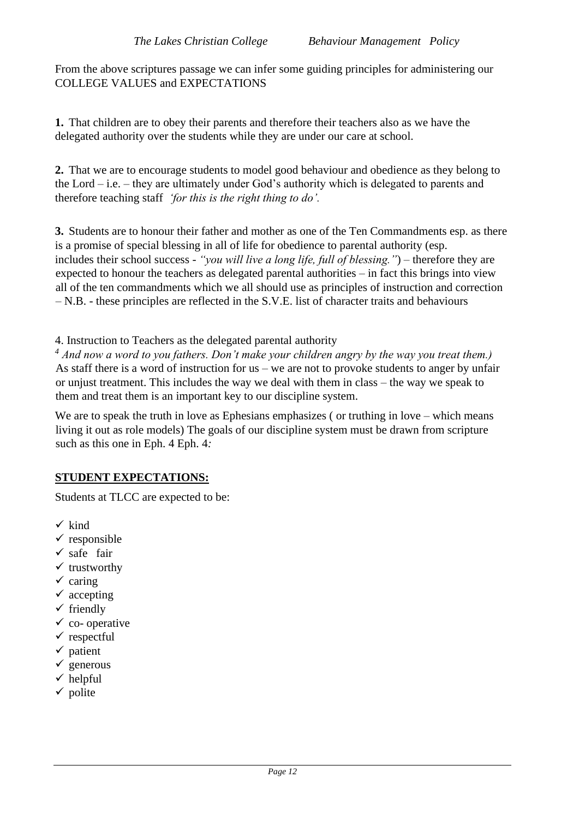From the above scriptures passage we can infer some guiding principles for administering our COLLEGE VALUES and EXPECTATIONS

**1.** That children are to obey their parents and therefore their teachers also as we have the delegated authority over the students while they are under our care at school.

**2.** That we are to encourage students to model good behaviour and obedience as they belong to the Lord – i.e. – they are ultimately under God's authority which is delegated to parents and therefore teaching staff *'for this is the right thing to do'.* 

**3.** Students are to honour their father and mother as one of the Ten Commandments esp. as there is a promise of special blessing in all of life for obedience to parental authority (esp. includes their school success - *"you will live a long life, full of blessing."*) – therefore they are expected to honour the teachers as delegated parental authorities – in fact this brings into view all of the ten commandments which we all should use as principles of instruction and correction – N.B. - these principles are reflected in the S.V.E. list of character traits and behaviours

4. Instruction to Teachers as the delegated parental authority

*<sup>4</sup> And now a word to you fathers. Don't make your children angry by the way you treat them.)*  As staff there is a word of instruction for us – we are not to provoke students to anger by unfair or unjust treatment. This includes the way we deal with them in class – the way we speak to them and treat them is an important key to our discipline system.

We are to speak the truth in love as Ephesians emphasizes (or truthing in love – which means living it out as role models) The goals of our discipline system must be drawn from scripture such as this one in Eph. 4 Eph. 4*:* 

## **STUDENT EXPECTATIONS:**

Students at TLCC are expected to be:

- $\checkmark$  kind
- $\checkmark$  responsible
- $\checkmark$  safe fair
- $\checkmark$  trustworthy
- $\checkmark$  caring
- $\checkmark$  accepting
- $\checkmark$  friendly
- $\checkmark$  co- operative
- $\checkmark$  respectful
- $\checkmark$  patient
- $\checkmark$  generous
- $\checkmark$  helpful
- $\checkmark$  polite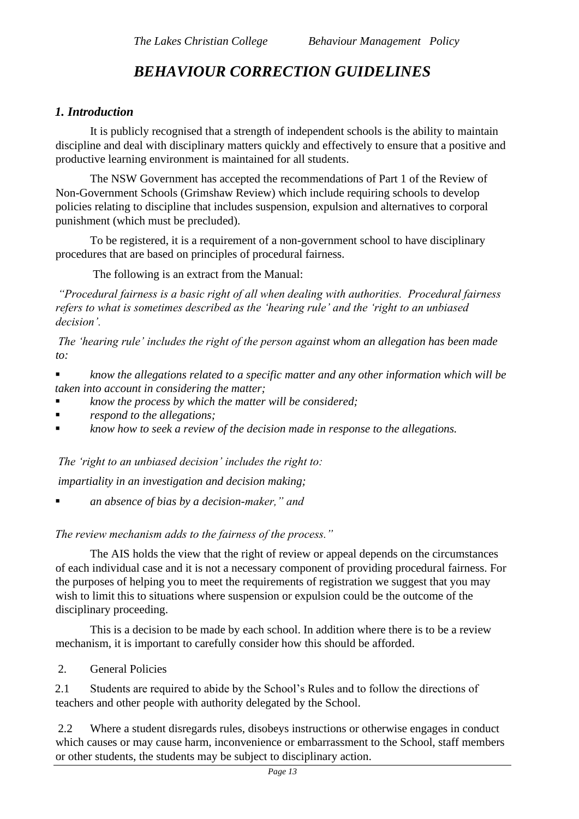## *BEHAVIOUR CORRECTION GUIDELINES*

## *1. Introduction*

It is publicly recognised that a strength of independent schools is the ability to maintain discipline and deal with disciplinary matters quickly and effectively to ensure that a positive and productive learning environment is maintained for all students.

 The NSW Government has accepted the recommendations of Part 1 of the Review of Non-Government Schools (Grimshaw Review) which include requiring schools to develop policies relating to discipline that includes suspension, expulsion and alternatives to corporal punishment (which must be precluded).

 To be registered, it is a requirement of a non-government school to have disciplinary procedures that are based on principles of procedural fairness.

The following is an extract from the Manual:

*"Procedural fairness is a basic right of all when dealing with authorities. Procedural fairness refers to what is sometimes described as the 'hearing rule' and the 'right to an unbiased decision'.* 

*The 'hearing rule' includes the right of the person against whom an allegation has been made to:* 

▪ *know the allegations related to a specific matter and any other information which will be taken into account in considering the matter;* 

- *know the process by which the matter will be considered;*
- *respond to the allegations;*
- know how to seek a review of the decision made in response to the allegations.

*The 'right to an unbiased decision' includes the right to:* 

*impartiality in an investigation and decision making;* 

▪ *an absence of bias by a decision-maker," and* 

*The review mechanism adds to the fairness of the process."* 

 The AIS holds the view that the right of review or appeal depends on the circumstances of each individual case and it is not a necessary component of providing procedural fairness. For the purposes of helping you to meet the requirements of registration we suggest that you may wish to limit this to situations where suspension or expulsion could be the outcome of the disciplinary proceeding.

 This is a decision to be made by each school. In addition where there is to be a review mechanism, it is important to carefully consider how this should be afforded.

2. General Policies

2.1 Students are required to abide by the School's Rules and to follow the directions of teachers and other people with authority delegated by the School.

2.2 Where a student disregards rules, disobeys instructions or otherwise engages in conduct which causes or may cause harm, inconvenience or embarrassment to the School, staff members or other students, the students may be subject to disciplinary action.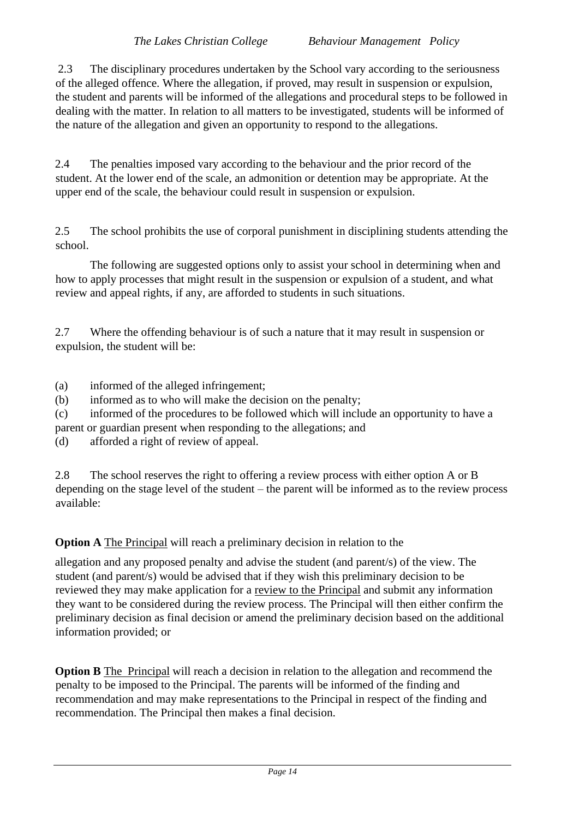2.3 The disciplinary procedures undertaken by the School vary according to the seriousness of the alleged offence. Where the allegation, if proved, may result in suspension or expulsion, the student and parents will be informed of the allegations and procedural steps to be followed in dealing with the matter. In relation to all matters to be investigated, students will be informed of the nature of the allegation and given an opportunity to respond to the allegations.

2.4 The penalties imposed vary according to the behaviour and the prior record of the student. At the lower end of the scale, an admonition or detention may be appropriate. At the upper end of the scale, the behaviour could result in suspension or expulsion.

2.5 The school prohibits the use of corporal punishment in disciplining students attending the school.

 The following are suggested options only to assist your school in determining when and how to apply processes that might result in the suspension or expulsion of a student, and what review and appeal rights, if any, are afforded to students in such situations.

2.7 Where the offending behaviour is of such a nature that it may result in suspension or expulsion, the student will be:

(a) informed of the alleged infringement;

(b) informed as to who will make the decision on the penalty;

(c) informed of the procedures to be followed which will include an opportunity to have a parent or guardian present when responding to the allegations; and

(d) afforded a right of review of appeal.

2.8 The school reserves the right to offering a review process with either option A or B depending on the stage level of the student – the parent will be informed as to the review process available:

**Option A** The Principal will reach a preliminary decision in relation to the

allegation and any proposed penalty and advise the student (and parent/s) of the view. The student (and parent/s) would be advised that if they wish this preliminary decision to be reviewed they may make application for a review to the Principal and submit any information they want to be considered during the review process. The Principal will then either confirm the preliminary decision as final decision or amend the preliminary decision based on the additional information provided; or

**Option B** The Principal will reach a decision in relation to the allegation and recommend the penalty to be imposed to the Principal. The parents will be informed of the finding and recommendation and may make representations to the Principal in respect of the finding and recommendation. The Principal then makes a final decision.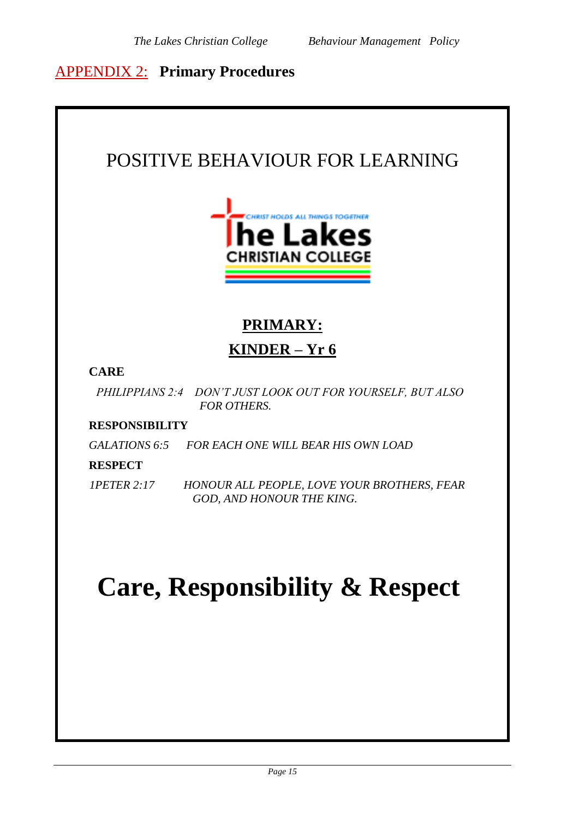## APPENDIX 2: **Primary Procedures**

# POSITIVE BEHAVIOUR FOR LEARNING **RIST HOLDS ALL THINGS TOGETHER** າe Lake **HRISTIAN COLLEGE PRIMARY: KINDER – Yr 6 CARE** *PHILIPPIANS 2:4 DON'T JUST LOOK OUT FOR YOURSELF, BUT ALSO FOR OTHERS.* **RESPONSIBILITY** *GALATIONS 6:5 FOR EACH ONE WILL BEAR HIS OWN LOAD* **RESPECT** *1PETER 2:17 HONOUR ALL PEOPLE, LOVE YOUR BROTHERS, FEAR GOD, AND HONOUR THE KING.* **Care, Responsibility & Respect**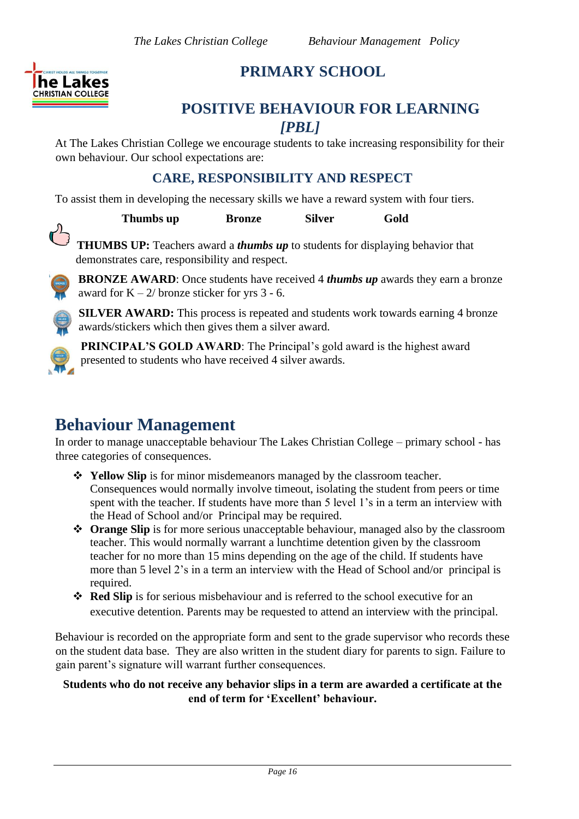

## **PRIMARY SCHOOL**

## **POSITIVE BEHAVIOUR FOR LEARNING**  *[PBL]*

At The Lakes Christian College we encourage students to take increasing responsibility for their own behaviour. Our school expectations are:

## **CARE, RESPONSIBILITY AND RESPECT**

To assist them in developing the necessary skills we have a reward system with four tiers.

**Thumbs up Bronze** Silver Gold

**THUMBS UP:** Teachers award a *thumbs up* to students for displaying behavior that demonstrates care, responsibility and respect.



**BRONZE AWARD**: Once students have received 4 *thumbs up* awards they earn a bronze award for  $K - 2/$  bronze sticker for yrs 3 - 6.

**SILVER AWARD:** This process is repeated and students work towards earning 4 bronze awards/stickers which then gives them a silver award.



**PRINCIPAL'S GOLD AWARD:** The Principal's gold award is the highest award presented to students who have received 4 silver awards.

## **Behaviour Management**

In order to manage unacceptable behaviour The Lakes Christian College – primary school - has three categories of consequences.

- ❖ **Yellow Slip** is for minor misdemeanors managed by the classroom teacher. Consequences would normally involve timeout, isolating the student from peers or time spent with the teacher. If students have more than 5 level 1's in a term an interview with the Head of School and/or Principal may be required.
- ❖ **Orange Slip** is for more serious unacceptable behaviour, managed also by the classroom teacher. This would normally warrant a lunchtime detention given by the classroom teacher for no more than 15 mins depending on the age of the child. If students have more than 5 level 2's in a term an interview with the Head of School and/or principal is required.
- ❖ **Red Slip** is for serious misbehaviour and is referred to the school executive for an executive detention. Parents may be requested to attend an interview with the principal.

Behaviour is recorded on the appropriate form and sent to the grade supervisor who records these on the student data base. They are also written in the student diary for parents to sign. Failure to gain parent's signature will warrant further consequences.

## **Students who do not receive any behavior slips in a term are awarded a certificate at the end of term for 'Excellent' behaviour.**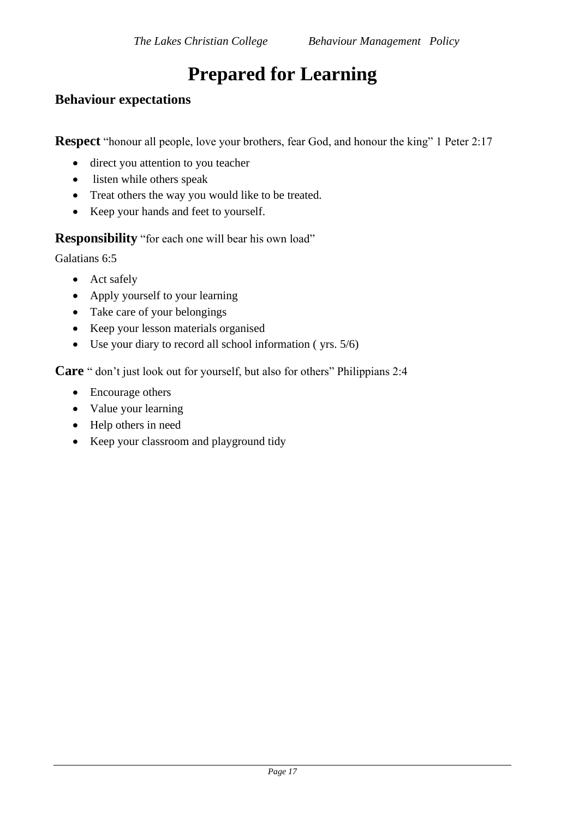## **Prepared for Learning**

## **Behaviour expectations**

**Respect** "honour all people, love your brothers, fear God, and honour the king" 1 Peter 2:17

- direct you attention to you teacher
- listen while others speak
- Treat others the way you would like to be treated.
- Keep your hands and feet to yourself.

**Responsibility** "for each one will bear his own load"

Galatians 6:5

- Act safely
- Apply yourself to your learning
- Take care of your belongings
- Keep your lesson materials organised
- Use your diary to record all school information ( yrs. 5/6)

**Care** " don't just look out for yourself, but also for others" Philippians 2:4

- Encourage others
- Value your learning
- Help others in need
- Keep your classroom and playground tidy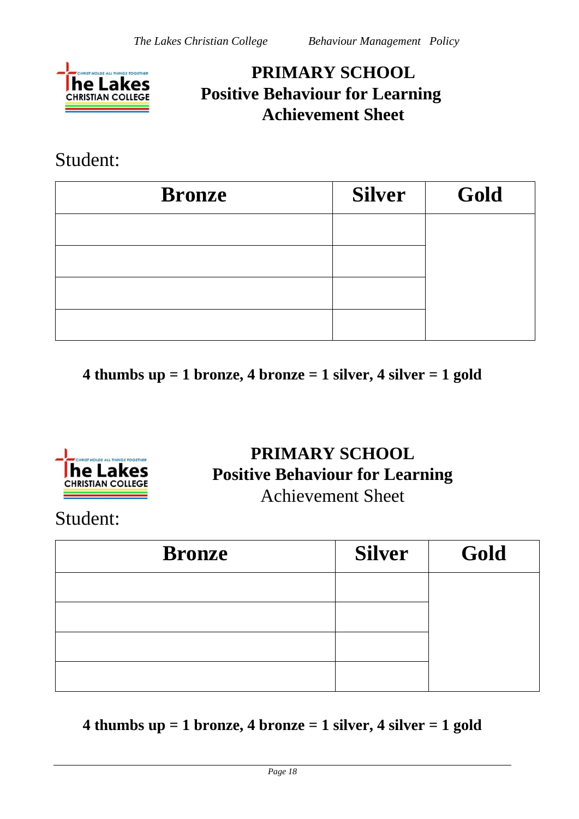

## **PRIMARY SCHOOL Positive Behaviour for Learning Achievement Sheet**

## Student:

| <b>Bronze</b> | <b>Silver</b> | Gold |
|---------------|---------------|------|
|               |               |      |
|               |               |      |
|               |               |      |
|               |               |      |

**4 thumbs up = 1 bronze, 4 bronze = 1 silver, 4 silver = 1 gold**



## **PRIMARY SCHOOL Positive Behaviour for Learning**  Achievement Sheet

Student:

| <b>Bronze</b> | <b>Silver</b> | Gold |
|---------------|---------------|------|
|               |               |      |
|               |               |      |
|               |               |      |
|               |               |      |

**4 thumbs up = 1 bronze, 4 bronze = 1 silver, 4 silver = 1 gold**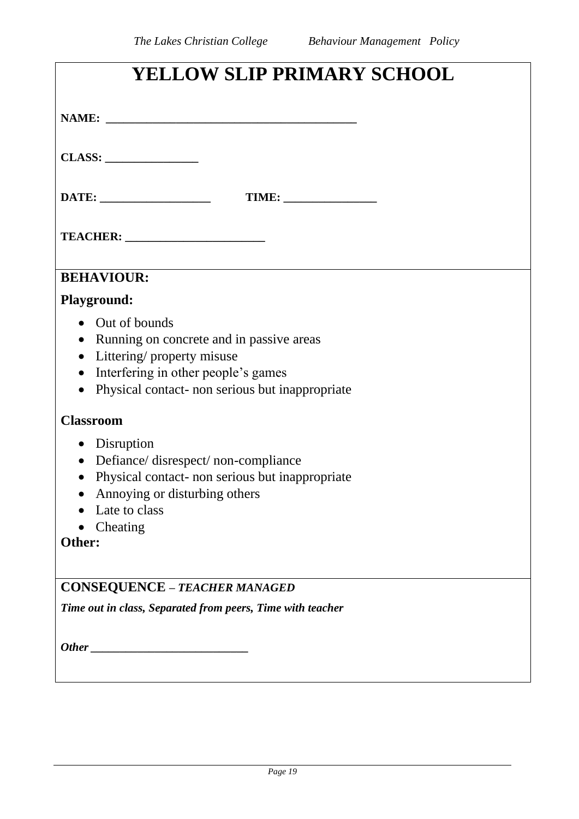| YELLOW SLIP PRIMARY SCHOOL                                   |  |  |  |  |
|--------------------------------------------------------------|--|--|--|--|
|                                                              |  |  |  |  |
|                                                              |  |  |  |  |
|                                                              |  |  |  |  |
|                                                              |  |  |  |  |
| <b>BEHAVIOUR:</b>                                            |  |  |  |  |
| <b>Playground:</b>                                           |  |  |  |  |
| • Out of bounds                                              |  |  |  |  |
| Running on concrete and in passive areas<br>$\bullet$        |  |  |  |  |
| • Littering/ property misuse                                 |  |  |  |  |
| Interfering in other people's games<br>$\bullet$             |  |  |  |  |
| Physical contact- non serious but inappropriate<br>$\bullet$ |  |  |  |  |
| <b>Classroom</b>                                             |  |  |  |  |
| • Disruption                                                 |  |  |  |  |
| Defiance/disrespect/non-compliance<br>$\bullet$              |  |  |  |  |
| Physical contact- non serious but inappropriate<br>$\bullet$ |  |  |  |  |
| Annoying or disturbing others                                |  |  |  |  |
| Late to class                                                |  |  |  |  |
| Cheating                                                     |  |  |  |  |
| Other:                                                       |  |  |  |  |
| <b>CONSEQUENCE - TEACHER MANAGED</b>                         |  |  |  |  |
| Time out in class, Separated from peers, Time with teacher   |  |  |  |  |
|                                                              |  |  |  |  |
|                                                              |  |  |  |  |
|                                                              |  |  |  |  |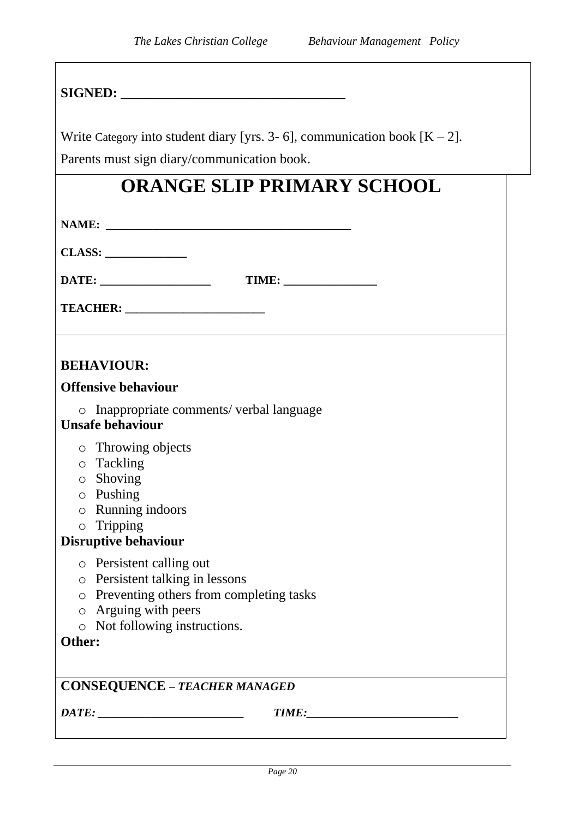| Write Category into student diary [yrs. 3- 6], communication book $[K - 2]$ . |  |  |  |  |  |
|-------------------------------------------------------------------------------|--|--|--|--|--|
| Parents must sign diary/communication book.                                   |  |  |  |  |  |
| <b>ORANGE SLIP PRIMARY SCHOOL</b>                                             |  |  |  |  |  |
|                                                                               |  |  |  |  |  |
|                                                                               |  |  |  |  |  |
|                                                                               |  |  |  |  |  |
|                                                                               |  |  |  |  |  |
|                                                                               |  |  |  |  |  |
|                                                                               |  |  |  |  |  |
|                                                                               |  |  |  |  |  |
|                                                                               |  |  |  |  |  |
| <b>BEHAVIOUR:</b>                                                             |  |  |  |  |  |
| <b>Offensive behaviour</b>                                                    |  |  |  |  |  |
| o Inappropriate comments/ verbal language<br><b>Unsafe behaviour</b>          |  |  |  |  |  |
| o Throwing objects                                                            |  |  |  |  |  |
| o Tackling                                                                    |  |  |  |  |  |
| $\circ$ Shoving<br>$\circ$ Pushing                                            |  |  |  |  |  |
| $\circ$ Running indoors                                                       |  |  |  |  |  |
| $\circ$ Tripping                                                              |  |  |  |  |  |
| <b>Disruptive behaviour</b>                                                   |  |  |  |  |  |
| Persistent calling out<br>$\circ$                                             |  |  |  |  |  |
| Persistent talking in lessons<br>$\bigcirc$                                   |  |  |  |  |  |
| Preventing others from completing tasks<br>$\bigcirc$                         |  |  |  |  |  |
| Arguing with peers<br>$\bigcirc$                                              |  |  |  |  |  |
| Not following instructions.<br>$\bigcirc$<br>Other:                           |  |  |  |  |  |
|                                                                               |  |  |  |  |  |
| <b>CONSEQUENCE - TEACHER MANAGED</b>                                          |  |  |  |  |  |
| $\overline{DATE}$ :                                                           |  |  |  |  |  |
|                                                                               |  |  |  |  |  |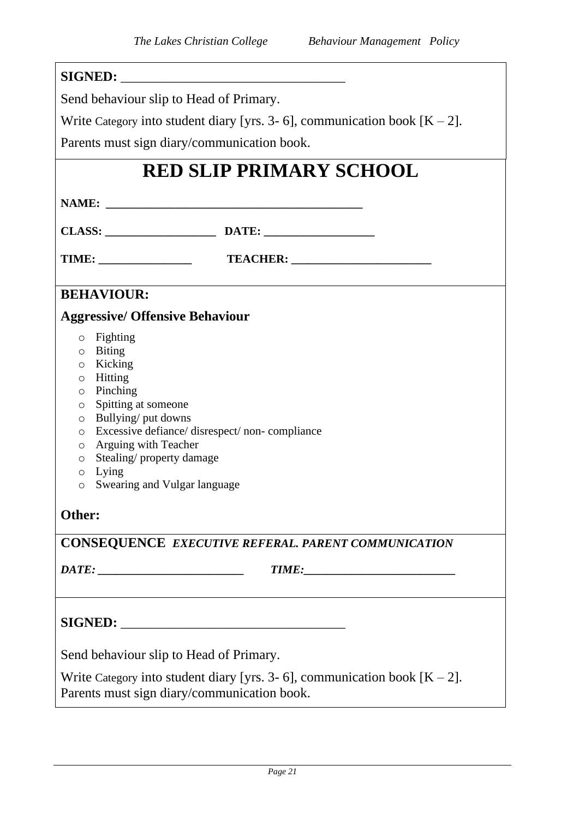| Send behaviour slip to Head of Primary.                                                                                                                                                                                                                                                                                                                          |                                                                               |  |  |  |  |
|------------------------------------------------------------------------------------------------------------------------------------------------------------------------------------------------------------------------------------------------------------------------------------------------------------------------------------------------------------------|-------------------------------------------------------------------------------|--|--|--|--|
|                                                                                                                                                                                                                                                                                                                                                                  | Write Category into student diary [yrs. 3- 6], communication book $[K - 2]$ . |  |  |  |  |
|                                                                                                                                                                                                                                                                                                                                                                  | Parents must sign diary/communication book.                                   |  |  |  |  |
|                                                                                                                                                                                                                                                                                                                                                                  | <b>RED SLIP PRIMARY SCHOOL</b>                                                |  |  |  |  |
|                                                                                                                                                                                                                                                                                                                                                                  |                                                                               |  |  |  |  |
|                                                                                                                                                                                                                                                                                                                                                                  |                                                                               |  |  |  |  |
|                                                                                                                                                                                                                                                                                                                                                                  |                                                                               |  |  |  |  |
| <b>BEHAVIOUR:</b>                                                                                                                                                                                                                                                                                                                                                |                                                                               |  |  |  |  |
| <b>Aggressive/ Offensive Behaviour</b>                                                                                                                                                                                                                                                                                                                           |                                                                               |  |  |  |  |
| Fighting<br>$\circ$<br>$\circ$ Biting<br>o Kicking<br>o Hitting<br>$\circ$ Pinching<br>Spitting at someone<br>$\circ$<br>o Bullying/ put downs<br>Excessive defiance/ disrespect/ non- compliance<br>$\circ$<br><b>Arguing with Teacher</b><br>$\circ$<br>Stealing/property damage<br>$\circ$<br>Lying<br>O<br>Swearing and Vulgar language<br>$\circ$<br>Other: |                                                                               |  |  |  |  |
|                                                                                                                                                                                                                                                                                                                                                                  | <b>CONSEQUENCE EXECUTIVE REFERAL. PARENT COMMUNICATION</b>                    |  |  |  |  |
|                                                                                                                                                                                                                                                                                                                                                                  | TIME:                                                                         |  |  |  |  |
| Send behaviour slip to Head of Primary.<br>Write Category into student diary [yrs. 3- 6], communication book $[K - 2]$ .                                                                                                                                                                                                                                         |                                                                               |  |  |  |  |
| Parents must sign diary/communication book.                                                                                                                                                                                                                                                                                                                      |                                                                               |  |  |  |  |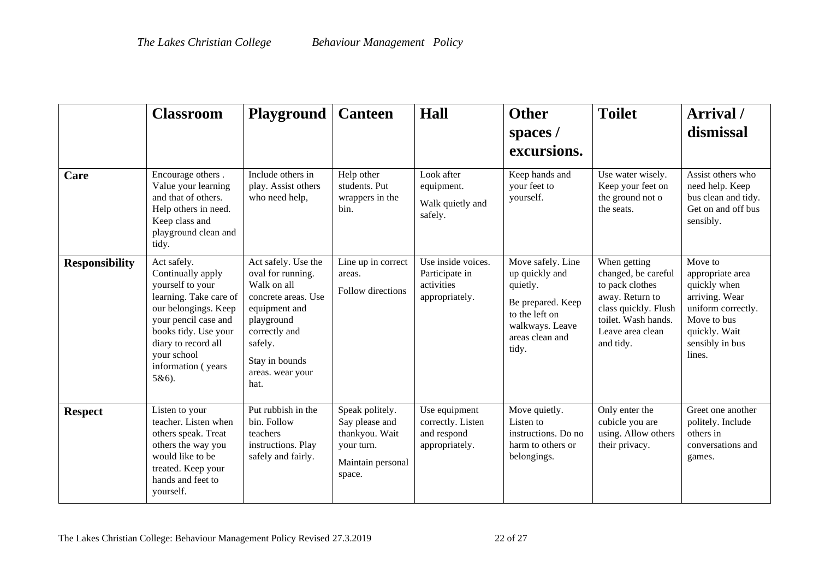|                       | <b>Classroom</b>                                                                                                                                                                                                            | <b>Playground   Canteen</b>                                                                                                                                                             |                                                                                                  | Hall                                                                 | <b>Other</b><br>spaces /<br>excursions.                                                                                               | <b>Toilet</b>                                                                                                                                             | Arrival /<br>dismissal                                                                                                                           |
|-----------------------|-----------------------------------------------------------------------------------------------------------------------------------------------------------------------------------------------------------------------------|-----------------------------------------------------------------------------------------------------------------------------------------------------------------------------------------|--------------------------------------------------------------------------------------------------|----------------------------------------------------------------------|---------------------------------------------------------------------------------------------------------------------------------------|-----------------------------------------------------------------------------------------------------------------------------------------------------------|--------------------------------------------------------------------------------------------------------------------------------------------------|
| Care                  | Encourage others.<br>Value your learning<br>and that of others.<br>Help others in need.<br>Keep class and<br>playground clean and<br>tidy.                                                                                  | Include others in<br>play. Assist others<br>who need help,                                                                                                                              | Help other<br>students. Put<br>wrappers in the<br>bin.                                           | Look after<br>equipment.<br>Walk quietly and<br>safely.              | Keep hands and<br>your feet to<br>yourself.                                                                                           | Use water wisely.<br>Keep your feet on<br>the ground not o<br>the seats.                                                                                  | Assist others who<br>need help. Keep<br>bus clean and tidy.<br>Get on and off bus<br>sensibly.                                                   |
| <b>Responsibility</b> | Act safely.<br>Continually apply<br>yourself to your<br>learning. Take care of<br>our belongings. Keep<br>your pencil case and<br>books tidy. Use your<br>diary to record all<br>your school<br>information (years<br>5&6). | Act safely. Use the<br>oval for running.<br>Walk on all<br>concrete areas. Use<br>equipment and<br>playground<br>correctly and<br>safely.<br>Stay in bounds<br>areas. wear your<br>hat. | Line up in correct<br>areas.<br>Follow directions                                                | Use inside voices.<br>Participate in<br>activities<br>appropriately. | Move safely. Line<br>up quickly and<br>quietly.<br>Be prepared. Keep<br>to the left on<br>walkways. Leave<br>areas clean and<br>tidy. | When getting<br>changed, be careful<br>to pack clothes<br>away. Return to<br>class quickly. Flush<br>toilet. Wash hands.<br>Leave area clean<br>and tidy. | Move to<br>appropriate area<br>quickly when<br>arriving. Wear<br>uniform correctly.<br>Move to bus<br>quickly. Wait<br>sensibly in bus<br>lines. |
| <b>Respect</b>        | Listen to your<br>teacher. Listen when<br>others speak. Treat<br>others the way you<br>would like to be<br>treated. Keep your<br>hands and feet to<br>yourself.                                                             | Put rubbish in the<br>bin. Follow<br>teachers<br>instructions. Play<br>safely and fairly.                                                                                               | Speak politely.<br>Say please and<br>thankyou. Wait<br>your turn.<br>Maintain personal<br>space. | Use equipment<br>correctly. Listen<br>and respond<br>appropriately.  | Move quietly.<br>Listen to<br>instructions. Do no<br>harm to others or<br>belongings.                                                 | Only enter the<br>cubicle you are<br>using. Allow others<br>their privacy.                                                                                | Greet one another<br>politely. Include<br>others in<br>conversations and<br>games.                                                               |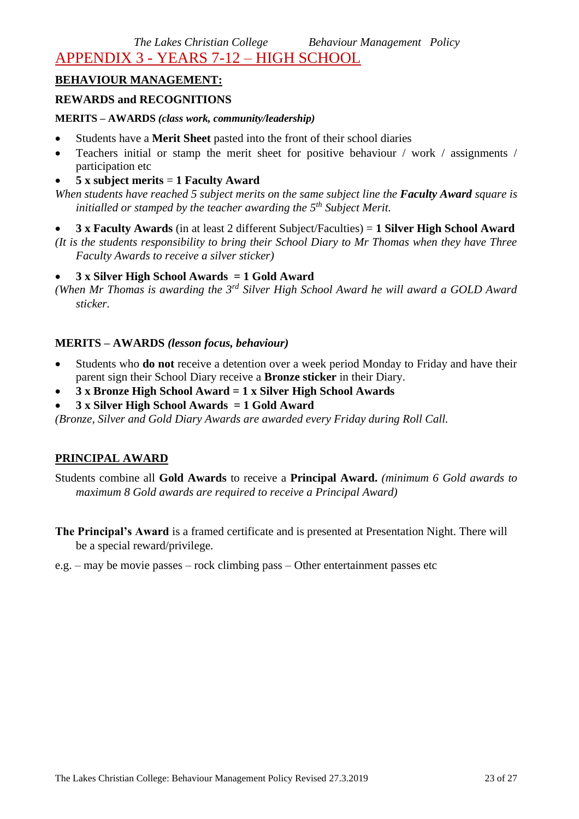*The Lakes Christian College Behaviour Management Policy* 

APPENDIX 3 - YEARS 7-12 – HIGH SCHOOL

## **BEHAVIOUR MANAGEMENT:**

## **REWARDS and RECOGNITIONS**

#### **MERITS – AWARDS** *(class work, community/leadership)*

- Students have a **Merit Sheet** pasted into the front of their school diaries
- Teachers initial or stamp the merit sheet for positive behaviour / work / assignments / participation etc
- **5 x subject merits** = **1 Faculty Award**

*When students have reached 5 subject merits on the same subject line the Faculty Award square is initialled or stamped by the teacher awarding the 5th Subject Merit.* 

- **3 x Faculty Awards** (in at least 2 different Subject/Faculties) = **1 Silver High School Award**
- *(It is the students responsibility to bring their School Diary to Mr Thomas when they have Three Faculty Awards to receive a silver sticker)*

## • **3 x Silver High School Awards = 1 Gold Award**

*(When Mr Thomas is awarding the 3rd Silver High School Award he will award a GOLD Award sticker.*

## **MERITS – AWARDS** *(lesson focus, behaviour)*

- Students who **do not** receive a detention over a week period Monday to Friday and have their parent sign their School Diary receive a **Bronze sticker** in their Diary.
- **3 x Bronze High School Award = 1 x Silver High School Awards**
- **3 x Silver High School Awards = 1 Gold Award**

*(Bronze, Silver and Gold Diary Awards are awarded every Friday during Roll Call.*

## **PRINCIPAL AWARD**

Students combine all **Gold Awards** to receive a **Principal Award.** *(minimum 6 Gold awards to maximum 8 Gold awards are required to receive a Principal Award)*

- **The Principal's Award** is a framed certificate and is presented at Presentation Night. There will be a special reward/privilege.
- e.g. may be movie passes rock climbing pass Other entertainment passes etc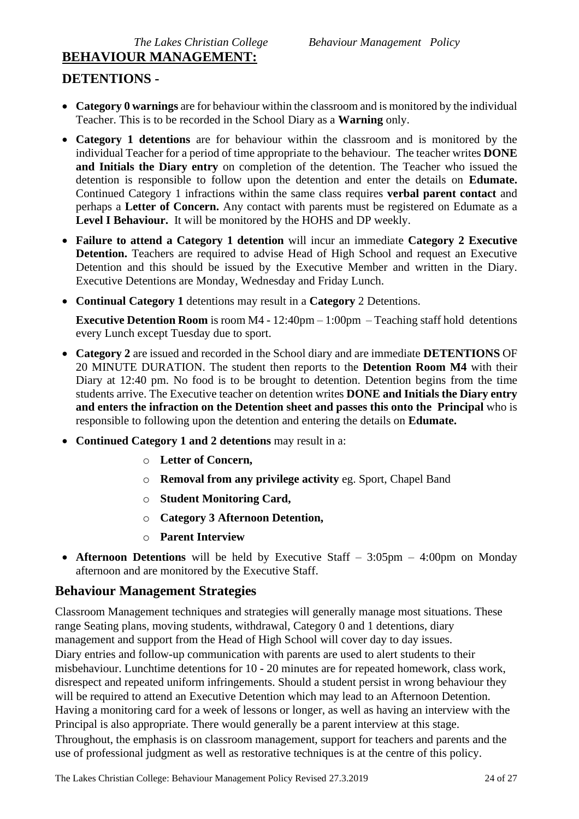## **BEHAVIOUR MANAGEMENT:**

## **DETENTIONS -**

- **Category 0 warnings** are for behaviour within the classroom and is monitored by the individual Teacher. This is to be recorded in the School Diary as a **Warning** only.
- **Category 1 detentions** are for behaviour within the classroom and is monitored by the individual Teacher for a period of time appropriate to the behaviour. The teacher writes **DONE and Initials the Diary entry** on completion of the detention. The Teacher who issued the detention is responsible to follow upon the detention and enter the details on **Edumate.** Continued Category 1 infractions within the same class requires **verbal parent contact** and perhaps a **Letter of Concern.** Any contact with parents must be registered on Edumate as a **Level I Behaviour.** It will be monitored by the HOHS and DP weekly.
- **Failure to attend a Category 1 detention** will incur an immediate **Category 2 Executive Detention.** Teachers are required to advise Head of High School and request an Executive Detention and this should be issued by the Executive Member and written in the Diary. Executive Detentions are Monday, Wednesday and Friday Lunch.
- **Continual Category 1** detentions may result in a **Category** 2 Detentions.

**Executive Detention Room** is room M4 - 12:40pm – 1:00pm – Teaching staff hold detentions every Lunch except Tuesday due to sport.

- **Category 2** are issued and recorded in the School diary and are immediate **DETENTIONS** OF 20 MINUTE DURATION. The student then reports to the **Detention Room M4** with their Diary at 12:40 pm. No food is to be brought to detention. Detention begins from the time students arrive. The Executive teacher on detention writes **DONE and Initials the Diary entry and enters the infraction on the Detention sheet and passes this onto the Principal** who is responsible to following upon the detention and entering the details on **Edumate.**
- **Continued Category 1 and 2 detentions** may result in a:
	- o **Letter of Concern,**
	- o **Removal from any privilege activity** eg. Sport, Chapel Band
	- o **Student Monitoring Card,**
	- o **Category 3 Afternoon Detention,**
	- o **Parent Interview**
- **Afternoon Detentions** will be held by Executive Staff 3:05pm 4:00pm on Monday afternoon and are monitored by the Executive Staff.

## **Behaviour Management Strategies**

Classroom Management techniques and strategies will generally manage most situations. These range Seating plans, moving students, withdrawal, Category 0 and 1 detentions, diary management and support from the Head of High School will cover day to day issues. Diary entries and follow-up communication with parents are used to alert students to their misbehaviour. Lunchtime detentions for 10 - 20 minutes are for repeated homework, class work, disrespect and repeated uniform infringements. Should a student persist in wrong behaviour they will be required to attend an Executive Detention which may lead to an Afternoon Detention. Having a monitoring card for a week of lessons or longer, as well as having an interview with the Principal is also appropriate. There would generally be a parent interview at this stage. Throughout, the emphasis is on classroom management, support for teachers and parents and the use of professional judgment as well as restorative techniques is at the centre of this policy.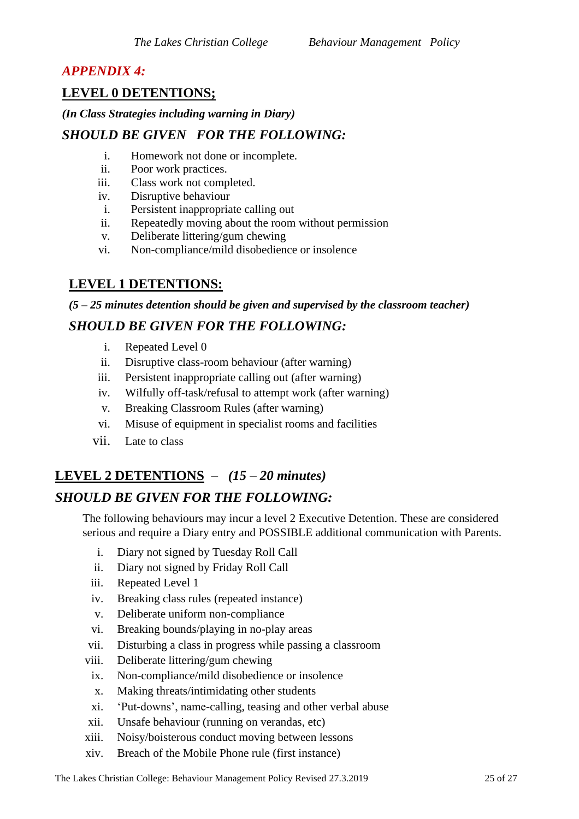## *APPENDIX 4:*

## **LEVEL 0 DETENTIONS;**

## *(In Class Strategies including warning in Diary)*

## *SHOULD BE GIVEN FOR THE FOLLOWING:*

- i. Homework not done or incomplete.
- ii. Poor work practices.
- iii. Class work not completed.
- iv. Disruptive behaviour
- i. Persistent inappropriate calling out
- ii. Repeatedly moving about the room without permission
- v. Deliberate littering/gum chewing
- vi. Non-compliance/mild disobedience or insolence

## **LEVEL 1 DETENTIONS:**

*(5 – 25 minutes detention should be given and supervised by the classroom teacher)* 

## *SHOULD BE GIVEN FOR THE FOLLOWING:*

- i. Repeated Level 0
- ii. Disruptive class-room behaviour (after warning)
- iii. Persistent inappropriate calling out (after warning)
- iv. Wilfully off-task/refusal to attempt work (after warning)
- v. Breaking Classroom Rules (after warning)
- vi. Misuse of equipment in specialist rooms and facilities
- vii. Late to class

## **LEVEL 2 DETENTIONS –** *(15 – 20 minutes)*

## *SHOULD BE GIVEN FOR THE FOLLOWING:*

The following behaviours may incur a level 2 Executive Detention. These are considered serious and require a Diary entry and POSSIBLE additional communication with Parents.

- i. Diary not signed by Tuesday Roll Call
- ii. Diary not signed by Friday Roll Call
- iii. Repeated Level 1
- iv. Breaking class rules (repeated instance)
- v. Deliberate uniform non-compliance
- vi. Breaking bounds/playing in no-play areas
- vii. Disturbing a class in progress while passing a classroom
- viii. Deliberate littering/gum chewing
- ix. Non-compliance/mild disobedience or insolence
- x. Making threats/intimidating other students
- xi. 'Put-downs', name-calling, teasing and other verbal abuse
- xii. Unsafe behaviour (running on verandas, etc)
- xiii. Noisy/boisterous conduct moving between lessons
- xiv. Breach of the Mobile Phone rule (first instance)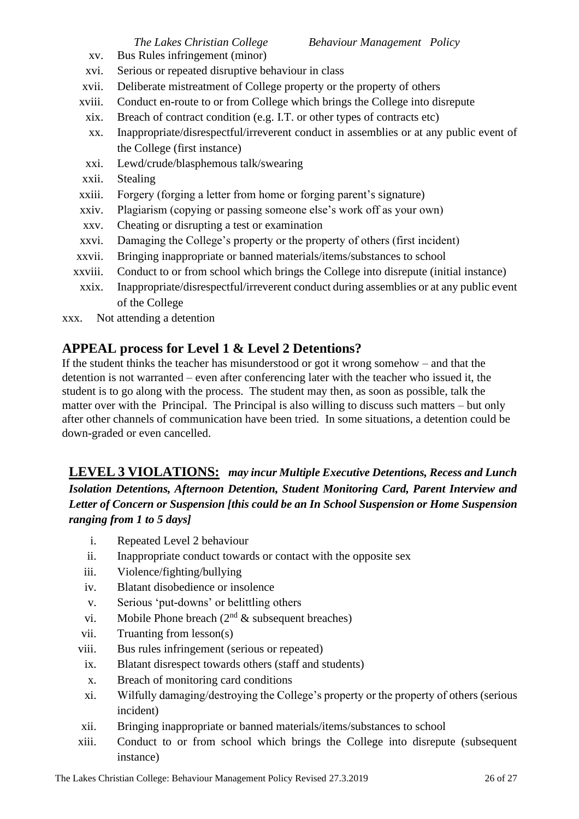*The Lakes Christian College Behaviour Management Policy* 

- xv. Bus Rules infringement (minor)
- xvi. Serious or repeated disruptive behaviour in class
- xvii. Deliberate mistreatment of College property or the property of others
- xviii. Conduct en-route to or from College which brings the College into disrepute
- xix. Breach of contract condition (e.g. I.T. or other types of contracts etc)
- xx. Inappropriate/disrespectful/irreverent conduct in assemblies or at any public event of the College (first instance)
- xxi. Lewd/crude/blasphemous talk/swearing
- xxii. Stealing
- xxiii. Forgery (forging a letter from home or forging parent's signature)
- xxiv. Plagiarism (copying or passing someone else's work off as your own)
- xxv. Cheating or disrupting a test or examination
- xxvi. Damaging the College's property or the property of others (first incident)
- xxvii. Bringing inappropriate or banned materials/items/substances to school
- xxviii. Conduct to or from school which brings the College into disrepute (initial instance)
- xxix. Inappropriate/disrespectful/irreverent conduct during assemblies or at any public event of the College
- xxx. Not attending a detention

## **APPEAL process for Level 1 & Level 2 Detentions?**

If the student thinks the teacher has misunderstood or got it wrong somehow – and that the detention is not warranted – even after conferencing later with the teacher who issued it, the student is to go along with the process. The student may then, as soon as possible, talk the matter over with the Principal. The Principal is also willing to discuss such matters – but only after other channels of communication have been tried. In some situations, a detention could be down-graded or even cancelled.

## **LEVEL 3 VIOLATIONS:** *may incur Multiple Executive Detentions, Recess and Lunch Isolation Detentions, Afternoon Detention, Student Monitoring Card, Parent Interview and Letter of Concern or Suspension [this could be an In School Suspension or Home Suspension ranging from 1 to 5 days]*

- i. Repeated Level 2 behaviour
- ii. Inappropriate conduct towards or contact with the opposite sex
- iii. Violence/fighting/bullying
- iv. Blatant disobedience or insolence
- v. Serious 'put-downs' or belittling others
- vi. Mobile Phone breach ( $2<sup>nd</sup>$  & subsequent breaches)
- vii. Truanting from lesson(s)
- viii. Bus rules infringement (serious or repeated)
- ix. Blatant disrespect towards others (staff and students)
- x. Breach of monitoring card conditions
- xi. Wilfully damaging/destroying the College's property or the property of others (serious incident)
- xii. Bringing inappropriate or banned materials/items/substances to school
- xiii. Conduct to or from school which brings the College into disrepute (subsequent instance)